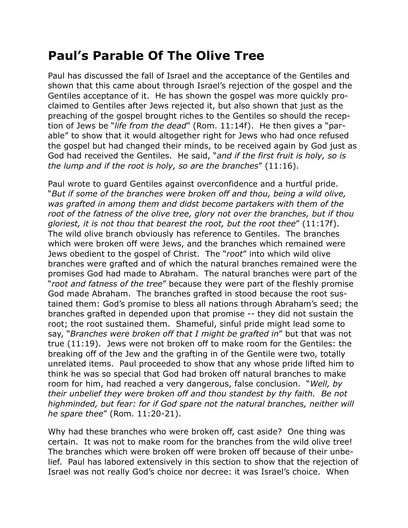## **Paul's Parable Of The Olive Tree**

Paul has discussed the fall of Israel and the acceptance of the Gentiles and shown that this came about through Israel's rejection of the gospel and the Gentiles acceptance of it. He has shown the gospel was more quickly proclaimed to Gentiles after Jews rejected it, but also shown that just as the preaching of the gospel brought riches to the Gentiles so should the reception of Jews be "*life from the dead*" (Rom. 11:14f). He then gives a "parable" to show that it would altogether right for Jews who had once refused the gospel but had changed their minds, to be received again by God just as God had received the Gentiles. He said, "*and if the first fruit is holy, so is the lump and if the root is holy, so are the branches*" (11:16).

Paul wrote to guard Gentiles against overconfidence and a hurtful pride. "*But if some of the branches were broken off and thou, being a wild olive, was grafted in among them and didst become partakers with them of the root of the fatness of the olive tree, glory not over the branches, but if thou gloriest, it is not thou that bearest the root, but the root thee*" (11:17f). The wild olive branch obviously has reference to Gentiles. The branches which were broken off were Jews, and the branches which remained were Jews obedient to the gospel of Christ. The "*root*" into which wild olive branches were grafted and of which the natural branches remained were the promises God had made to Abraham. The natural branches were part of the "*root and fatness of the tree*" because they were part of the fleshly promise God made Abraham. The branches grafted in stood because the root sustained them: God's promise to bless all nations through Abraham's seed; the branches grafted in depended upon that promise -- they did not sustain the root; the root sustained them. Shameful, sinful pride might lead some to say, "*Branches were broken off that I might be grafted in*" but that was not true (11:19). Jews were not broken off to make room for the Gentiles: the breaking off of the Jew and the grafting in of the Gentile were two, totally unrelated items. Paul proceeded to show that any whose pride lifted him to think he was so special that God had broken off natural branches to make room for him, had reached a very dangerous, false conclusion. "*Well, by their unbelief they were broken off and thou standest by thy faith. Be not highminded, but fear: for if God spare not the natural branches, neither will he spare thee*" (Rom. 11:20-21).

Why had these branches who were broken off, cast aside? One thing was certain. It was not to make room for the branches from the wild olive tree! The branches which were broken off were broken off because of their unbelief. Paul has labored extensively in this section to show that the rejection of Israel was not really God's choice nor decree: it was Israel's choice. When